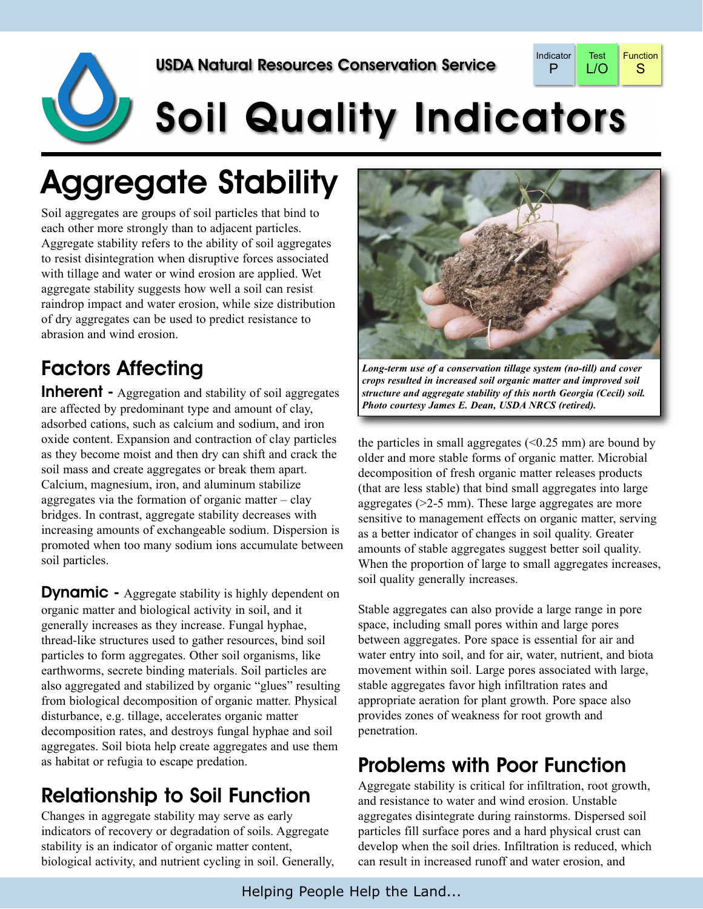

# Soil Quality Indicators

## Aggregate Stability

Soil aggregates are groups of soil particles that bind to each other more strongly than to adjacent particles. Aggregate stability refers to the ability of soil aggregates to resist disintegration when disruptive forces associated with tillage and water or wind erosion are applied. Wet aggregate stability suggests how well a soil can resist raindrop impact and water erosion, while size distribution of dry aggregates can be used to predict resistance to abrasion and wind erosion.

### Factors Affecting

**Inherent** - Aggregation and stability of soil aggregates are affected by predominant type and amount of clay, adsorbed cations, such as calcium and sodium, and iron oxide content. Expansion and contraction of clay particles as they become moist and then dry can shift and crack the soil mass and create aggregates or break them apart. Calcium, magnesium, iron, and aluminum stabilize aggregates via the formation of organic matter  $-\text{clay}$ bridges. In contrast, aggregate stability decreases with increasing amounts of exchangeable sodium. Dispersion is promoted when too many sodium ions accumulate between soil particles.

**Dynamic -** Aggregate stability is highly dependent on organic matter and biological activity in soil, and it generally increases as they increase. Fungal hyphae, thread-like structures used to gather resources, bind soil particles to form aggregates. Other soil organisms, like earthworms, secrete binding materials. Soil particles are also aggregated and stabilized by organic "glues" resulting from biological decomposition of organic matter. Physical disturbance, e.g. tillage, accelerates organic matter decomposition rates, and destroys fungal hyphae and soil aggregates. Soil biota help create aggregates and use them as habitat or refugia to escape predation.

### Relationship to Soil Function

Changes in aggregate stability may serve as early indicators of recovery or degradation of soils. Aggregate stability is an indicator of organic matter content, biological activity, and nutrient cycling in soil. Generally,



*Long-term use of a conservation tillage system (no-till) and cover crops resulted in increased soil organic matter and improved soil structure and aggregate stability of this north Georgia (Cecil) soil. Photo courtesy James E. Dean, USDA NRCS (retired).*

the particles in small aggregates  $( $0.25 \text{ mm}$ )$  are bound by older and more stable forms of organic matter. Microbial decomposition of fresh organic matter releases products (that are less stable) that bind small aggregates into large aggregates (>2-5 mm). These large aggregates are more sensitive to management effects on organic matter, serving as a better indicator of changes in soil quality. Greater amounts of stable aggregates suggest better soil quality. When the proportion of large to small aggregates increases, soil quality generally increases.

Stable aggregates can also provide a large range in pore space, including small pores within and large pores between aggregates. Pore space is essential for air and water entry into soil, and for air, water, nutrient, and biota movement within soil. Large pores associated with large, stable aggregates favor high infiltration rates and appropriate aeration for plant growth. Pore space also provides zones of weakness for root growth and penetration.

#### Problems with Poor Function

Aggregate stability is critical for infiltration, root growth, and resistance to water and wind erosion. Unstable aggregates disintegrate during rainstorms. Dispersed soil particles fill surface pores and a hard physical crust can develop when the soil dries. Infiltration is reduced, which can result in increased runoff and water erosion, and